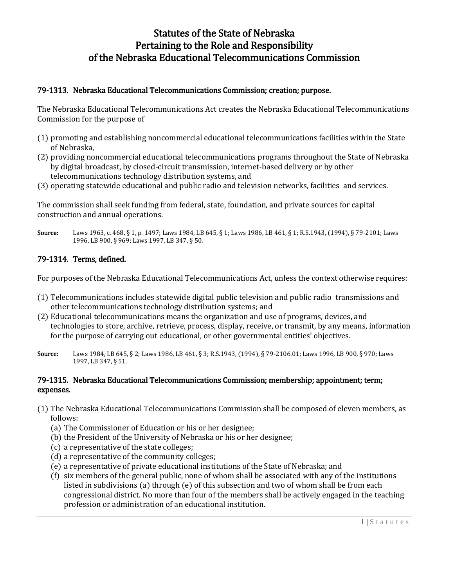# Statutes of the State of Nebraska Pertaining to the Role and Responsibility of the Nebraska Educational Telecommunications Commission

## 79-1313. Nebraska Educational Telecommunications Commission; creation; purpose.

The Nebraska Educational Telecommunications Act creates the Nebraska Educational Telecommunications Commission for the purpose of

- (1) promoting and establishing noncommercial educational telecommunications facilities within the State of Nebraska,
- (2) providing noncommercial educational telecommunications programs throughout the State of Nebraska by digital broadcast, by closed-circuit transmission, internet-based delivery or by other telecommunications technology distribution systems, and
- (3) operating statewide educational and public radio and television networks, facilities and services.

The commission shall seek funding from federal, state, foundation, and private sources for capital construction and annual operations.

Source: Laws 1963, c. 468, § 1, p. 1497; Laws 1984, LB 645, § 1; Laws 1986, LB 461, § 1; R.S.1943, (1994), § 79-2101; Laws 1996, LB 900, § 969; Laws 1997, LB 347, § 50.

## 79-1314. Terms, defined.

For purposes of the Nebraska Educational Telecommunications Act, unless the context otherwise requires:

- (1) Telecommunications includes statewide digital public television and public radio transmissions and other telecommunications technology distribution systems; and
- (2) Educational telecommunications means the organization and use of programs, devices, and technologies to store, archive, retrieve, process, display, receive, or transmit, by any means, information for the purpose of carrying out educational, or other governmental entities' objectives.
- Source: Laws 1984, LB 645, § 2; Laws 1986, LB 461, § 3; R.S.1943, (1994), § 79-2106.01; Laws 1996, LB 900, § 970; Laws 1997, LB 347, § 51.

## 79-1315. Nebraska Educational Telecommunications Commission; membership; appointment; term; expenses.

- (1) The Nebraska Educational Telecommunications Commission shall be composed of eleven members, as follows:
	- (a) The Commissioner of Education or his or her designee;
	- (b) the President of the University of Nebraska or his or her designee;
	- (c) a representative of the state colleges;
	- (d) a representative of the community colleges;
	- (e) a representative of private educational institutions of the State of Nebraska; and
	- (f) six members of the general public, none of whom shall be associated with any of the institutions listed in subdivisions (a) through (e) of this subsection and two of whom shall be from each congressional district. No more than four of the members shall be actively engaged in the teaching profession or administration of an educational institution.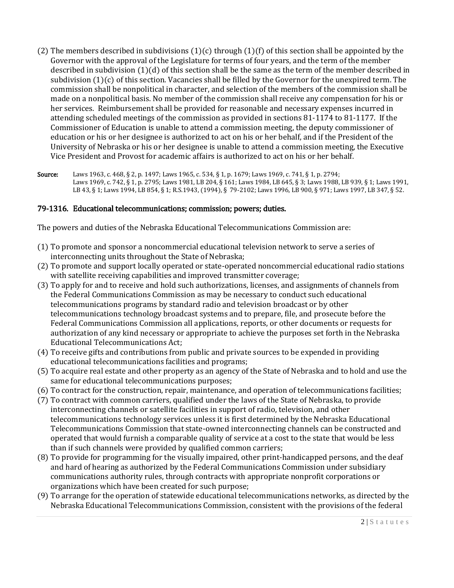- (2) The members described in subdivisions  $(1)(c)$  through  $(1)(f)$  of this section shall be appointed by the Governor with the approval of the Legislature for terms of four years, and the term of the member described in subdivision  $(1)(d)$  of this section shall be the same as the term of the member described in subdivision (1)(c) of this section. Vacancies shall be filled by the Governor for the unexpired term. The commission shall be nonpolitical in character, and selection of the members of the commission shall be made on a nonpolitical basis. No member of the commission shall receive any compensation for his or her services. Reimbursement shall be provided for reasonable and necessary expenses incurred in attending scheduled meetings of the commission as provided in sections 81-1174 to 81-1177. If the Commissioner of Education is unable to attend a commission meeting, the deputy commissioner of education or his or her designee is authorized to act on his or her behalf, and if the President of the University of Nebraska or his or her designee is unable to attend a commission meeting, the Executive Vice President and Provost for academic affairs is authorized to act on his or her behalf.
- Source: Laws 1963, c. 468, § 2, p. 1497; Laws 1965, c. 534, § 1, p. 1679; Laws 1969, c. 741, § 1, p. 2794; Laws 1969, c. 742, § 1, p. 2795; Laws 1981, LB 204, § 161; Laws 1984, LB 645, § 3; Laws 1988, LB 939, § 1; Laws 1991, LB 43, § 1; Laws 1994, LB 854, § 1; R.S.1943, (1994), § 79-2102; Laws 1996, LB 900, § 971; Laws 1997, LB 347, § 52.

## 79-1316. Educational telecommunications; commission; powers; duties.

The powers and duties of the Nebraska Educational Telecommunications Commission are:

- (1) To promote and sponsor a noncommercial educational television network to serve a series of interconnecting units throughout the State of Nebraska;
- (2) To promote and support locally operated or state-operated noncommercial educational radio stations with satellite receiving capabilities and improved transmitter coverage;
- (3) To apply for and to receive and hold such authorizations, licenses, and assignments of channels from the Federal Communications Commission as may be necessary to conduct such educational telecommunications programs by standard radio and television broadcast or by other telecommunications technology broadcast systems and to prepare, file, and prosecute before the Federal Communications Commission all applications, reports, or other documents or requests for authorization of any kind necessary or appropriate to achieve the purposes set forth in the Nebraska Educational Telecommunications Act;
- (4) To receive gifts and contributions from public and private sources to be expended in providing educational telecommunications facilities and programs;
- (5) To acquire real estate and other property as an agency of the State of Nebraska and to hold and use the same for educational telecommunications purposes;
- (6) To contract for the construction, repair, maintenance, and operation of telecommunications facilities;
- (7) To contract with common carriers, qualified under the laws of the State of Nebraska, to provide interconnecting channels or satellite facilities in support of radio, television, and other telecommunications technology services unless it is first determined by the Nebraska Educational Telecommunications Commission that state-owned interconnecting channels can be constructed and operated that would furnish a comparable quality of service at a cost to the state that would be less than if such channels were provided by qualified common carriers;
- (8) To provide for programming for the visually impaired, other print-handicapped persons, and the deaf and hard of hearing as authorized by the Federal Communications Commission under subsidiary communications authority rules, through contracts with appropriate nonprofit corporations or organizations which have been created for such purpose;
- (9) To arrange for the operation of statewide educational telecommunications networks, as directed by the Nebraska Educational Telecommunications Commission, consistent with the provisions of the federal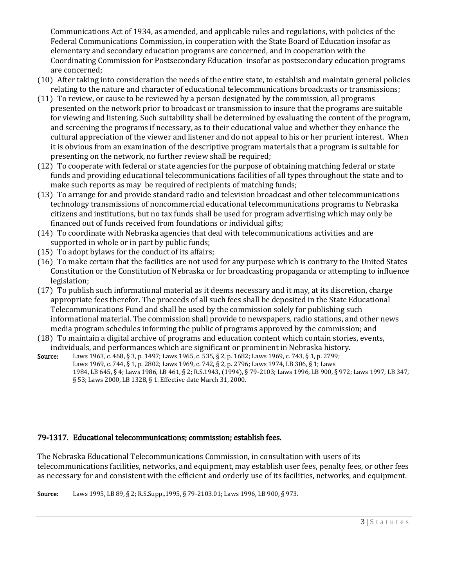Communications Act of 1934, as amended, and applicable rules and regulations, with policies of the Federal Communications Commission, in cooperation with the State Board of Education insofar as elementary and secondary education programs are concerned, and in cooperation with the Coordinating Commission for Postsecondary Education insofar as postsecondary education programs are concerned;

- (10) After taking into consideration the needs of the entire state, to establish and maintain general policies relating to the nature and character of educational telecommunications broadcasts or transmissions;
- (11) To review, or cause to be reviewed by a person designated by the commission, all programs presented on the network prior to broadcast or transmission to insure that the programs are suitable for viewing and listening. Such suitability shall be determined by evaluating the content of the program, and screening the programs if necessary, as to their educational value and whether they enhance the cultural appreciation of the viewer and listener and do not appeal to his or her prurient interest. When it is obvious from an examination of the descriptive program materials that a program is suitable for presenting on the network, no further review shall be required;
- (12) To cooperate with federal or state agencies for the purpose of obtaining matching federal or state funds and providing educational telecommunications facilities of all types throughout the state and to make such reports as may be required of recipients of matching funds;
- (13) To arrange for and provide standard radio and television broadcast and other telecommunications technology transmissions of noncommercial educational telecommunications programs to Nebraska citizens and institutions, but no tax funds shall be used for program advertising which may only be financed out of funds received from foundations or individual gifts;
- (14) To coordinate with Nebraska agencies that deal with telecommunications activities and are supported in whole or in part by public funds;
- (15) To adopt bylaws for the conduct of its affairs;
- (16) To make certain that the facilities are not used for any purpose which is contrary to the United States Constitution or the Constitution of Nebraska or for broadcasting propaganda or attempting to influence legislation;
- (17) To publish such informational material as it deems necessary and it may, at its discretion, charge appropriate fees therefor. The proceeds of all such fees shall be deposited in the State Educational Telecommunications Fund and shall be used by the commission solely for publishing such informational material. The commission shall provide to newspapers, radio stations, and other news media program schedules informing the public of programs approved by the commission; and
- (18) To maintain a digital archive of programs and education content which contain stories, events, individuals, and performances which are significant or prominent in Nebraska history.
- Source: Laws 1963, c. 468, § 3, p. 1497; Laws 1965, c. 535, § 2, p. 1682; Laws 1969, c. 743, § 1, p. 2799; Laws 1969, c. 744, § 1, p. 2802; Laws 1969, c. 742, § 2, p. 2796; Laws 1974, LB 306, § 1; Laws 1984, LB 645, § 4; Laws 1986, LB 461, § 2; R.S.1943, (1994), § 79-2103; Laws 1996, LB 900, § 972; Laws 1997, LB 347, § 53; Laws 2000, LB 1328, § 1. Effective date March 31, 2000.

# 79-1317. Educational telecommunications; commission; establish fees.

The Nebraska Educational Telecommunications Commission, in consultation with users of its telecommunications facilities, networks, and equipment, may establish user fees, penalty fees, or other fees as necessary for and consistent with the efficient and orderly use of its facilities, networks, and equipment.

Source: Laws 1995, LB 89, § 2; R.S.Supp.,1995, § 79-2103.01; Laws 1996, LB 900, § 973.